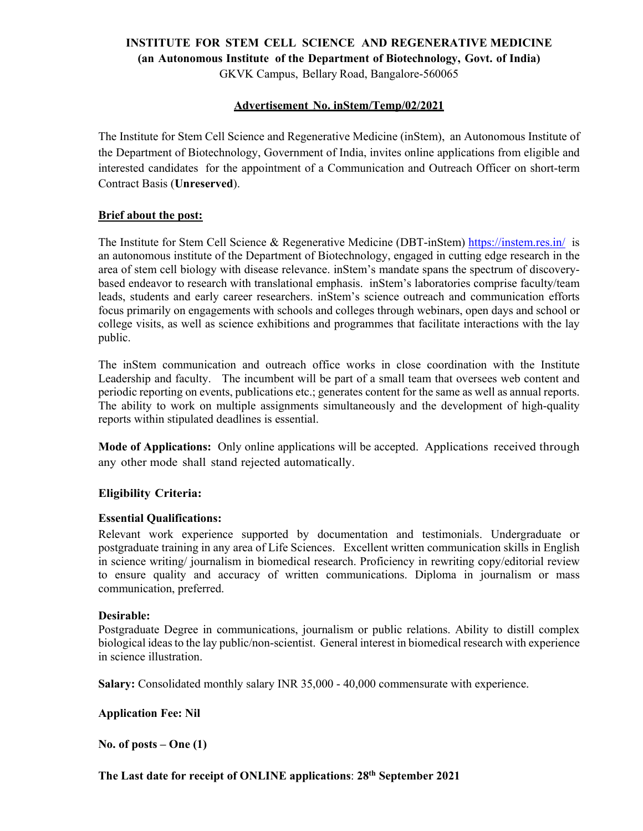### **INSTITUTE FOR STEM CELL SCIENCE AND REGENERATIVE MEDICINE (an Autonomous Institute of the Department of Biotechnology, Govt. of India)**

GKVK Campus, Bellary Road, Bangalore-560065

### **Advertisement No. inStem/Temp/02/2021**

The Institute for Stem Cell Science and Regenerative Medicine (inStem), an Autonomous Institute of the Department of Biotechnology, Government of India, invites online applications from eligible and interested candidates for the appointment of a Communication and Outreach Officer on short-term Contract Basis (**Unreserved**).

#### **Brief about the post:**

The Institute for Stem Cell Science & Regenerative Medicine (DBT-inStem) https://instem.res.in/ is an autonomous institute of the Department of Biotechnology, engaged in cutting edge research in the area of stem cell biology with disease relevance. inStem's mandate spans the spectrum of discoverybased endeavor to research with translational emphasis. inStem's laboratories comprise faculty/team leads, students and early career researchers. inStem's science outreach and communication efforts focus primarily on engagements with schools and colleges through webinars, open days and school or college visits, as well as science exhibitions and programmes that facilitate interactions with the lay public.

The inStem communication and outreach office works in close coordination with the Institute Leadership and faculty. The incumbent will be part of a small team that oversees web content and periodic reporting on events, publications etc.; generates content for the same as well as annual reports. The ability to work on multiple assignments simultaneously and the development of high-quality reports within stipulated deadlines is essential.

**Mode of Applications:** Only online applications will be accepted. Applications received through any other mode shall stand rejected automatically.

## **Eligibility Criteria:**

#### **Essential Qualifications:**

Relevant work experience supported by documentation and testimonials. Undergraduate or postgraduate training in any area of Life Sciences. Excellent written communication skills in English in science writing/ journalism in biomedical research. Proficiency in rewriting copy/editorial review to ensure quality and accuracy of written communications. Diploma in journalism or mass communication, preferred.

#### **Desirable:**

Postgraduate Degree in communications, journalism or public relations. Ability to distill complex biological ideas to the lay public/non-scientist. General interest in biomedical research with experience in science illustration.

**Salary:** Consolidated monthly salary INR 35,000 - 40,000 commensurate with experience.

**Application Fee: Nil** 

**No. of posts – One (1)** 

**The Last date for receipt of ONLINE applications**: **28th September 2021**